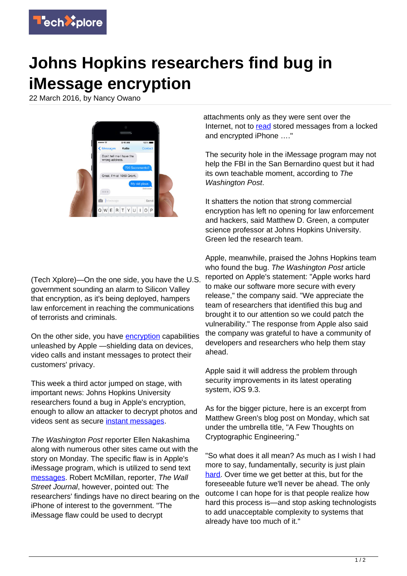

## **Johns Hopkins researchers find bug in iMessage encryption**

22 March 2016, by Nancy Owano



(Tech Xplore)—On the one side, you have the U.S. government sounding an alarm to Silicon Valley that encryption, as it's being deployed, hampers law enforcement in reaching the communications of terrorists and criminals.

On the other side, you have [encryption](https://techxplore.com/tags/encryption/) capabilities unleashed by Apple —shielding data on devices, video calls and instant messages to protect their customers' privacy.

This week a third actor jumped on stage, with important news: Johns Hopkins University researchers found a bug in Apple's encryption, enough to allow an attacker to decrypt photos and videos sent as secure *[instant messages](https://techxplore.com/tags/instant+messages/)*.

The Washington Post reporter Ellen Nakashima along with numerous other sites came out with the story on Monday. The specific flaw is in Apple's iMessage program, which is utilized to send text [messages](https://www.washingtonpost.com/world/national-security/johns-hopkins-researchers-discovered-encryption-flaw-in-apples-imessage/2016/03/20/a323f9a0-eca7-11e5-a6f3-21ccdbc5f74e_story.html). Robert McMillan, reporter, The Wall Street Journal, however, pointed out: The researchers' findings have no direct bearing on the iPhone of interest to the government. "The iMessage flaw could be used to decrypt

attachments only as they were sent over the Internet, not to [read](http://www.wsj.com/articles/apple-encryption-flaw-discovered-by-johns-hopkins-researchers-1458593247) stored messages from a locked and encrypted iPhone …."

The security hole in the iMessage program may not help the FBI in the San Bernardino quest but it had its own teachable moment, according to The Washington Post.

It shatters the notion that strong commercial encryption has left no opening for law enforcement and hackers, said Matthew D. Green, a computer science professor at Johns Hopkins University. Green led the research team.

Apple, meanwhile, praised the Johns Hopkins team who found the bug. The Washington Post article reported on Apple's statement: "Apple works hard to make our software more secure with every release," the company said. "We appreciate the team of researchers that identified this bug and brought it to our attention so we could patch the vulnerability." The response from Apple also said the company was grateful to have a community of developers and researchers who help them stay ahead.

Apple said it will address the problem through security improvements in its latest operating system, iOS 9.3.

As for the bigger picture, here is an excerpt from Matthew Green's blog post on Monday, which sat under the umbrella title, "A Few Thoughts on Cryptographic Engineering."

"So what does it all mean? As much as I wish I had more to say, fundamentally, security is just plain [hard](http://blog.cryptographyengineering.com/). Over time we get better at this, but for the foreseeable future we'll never be ahead. The only outcome I can hope for is that people realize how hard this process is—and stop asking technologists to add unacceptable complexity to systems that already have too much of it."